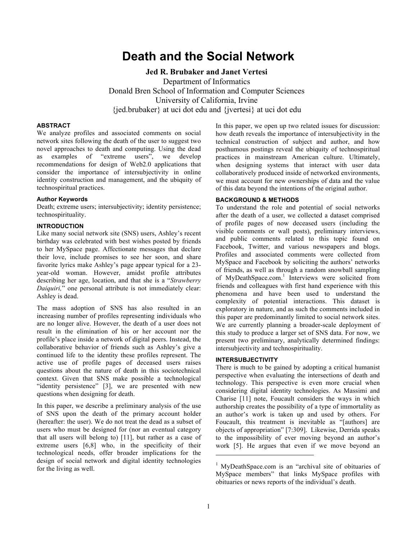# **Death and the Social Network**

**Jed R. Brubaker and Janet Vertesi** Department of Informatics Donald Bren School of Information and Computer Sciences University of California, Irvine {jed.brubaker} at uci dot edu and {jvertesi} at uci dot edu

## **ABSTRACT**

We analyze profiles and associated comments on social network sites following the death of the user to suggest two novel approaches to death and computing. Using the dead as examples of "extreme users", we develop recommendations for design of Web2.0 applications that consider the importance of intersubjectivity in online identity construction and management, and the ubiquity of technospiritual practices.

## **Author Keywords**

Death; extreme users; intersubjectivity; identity persistence; technospirituality.

## **INTRODUCTION**

Like many social network site (SNS) users, Ashley's recent birthday was celebrated with best wishes posted by friends to her MySpace page. Affectionate messages that declare their love, include promises to see her soon, and share favorite lyrics make Ashley's page appear typical for a 23 year-old woman. However, amidst profile attributes describing her age, location, and that she is a "*Strawberry Daiquiri,*" one personal attribute is not immediately clear: Ashley is dead.

The mass adoption of SNS has also resulted in an increasing number of profiles representing individuals who are no longer alive. However, the death of a user does not result in the elimination of his or her account nor the profile's place inside a network of digital peers. Instead, the collaborative behavior of friends such as Ashley's give a continued life to the identity these profiles represent. The active use of profile pages of deceased users raises questions about the nature of death in this sociotechnical context. Given that SNS make possible a technological "identity persistence" [3], we are presented with new questions when designing for death.

In this paper, we describe a preliminary analysis of the use of SNS upon the death of the primary account holder (hereafter: the user). We do not treat the dead as a subset of users who must be designed for (nor an eventual category that all users will belong to) [11], but rather as a case of extreme users [6,8] who, in the specificity of their technological needs, offer broader implications for the design of social network and digital identity technologies for the living as well.

In this paper, we open up two related issues for discussion: how death reveals the importance of intersubjectivity in the technical construction of subject and author, and how posthumous postings reveal the ubiquity of technospiritual practices in mainstream American culture. Ultimately, when designing systems that interact with user data collaboratively produced inside of networked environments, we must account for new ownerships of data and the value of this data beyond the intentions of the original author.

## **BACKGROUND & METHODS**

To understand the role and potential of social networks after the death of a user, we collected a dataset comprised of profile pages of now deceased users (including the visible comments or wall posts), preliminary interviews, and public comments related to this topic found on Facebook, Twitter, and various newspapers and blogs. Profiles and associated comments were collected from MySpace and Facebook by soliciting the authors' networks of friends, as well as through a random snowball sampling of MyDeathSpace.com.<sup>1</sup> Interviews were solicited from friends and colleagues with first hand experience with this phenomena and have been used to understand the complexity of potential interactions. This dataset is exploratory in nature, and as such the comments included in this paper are predominantly limited to social network sites. We are currently planning a broader-scale deployment of this study to produce a larger set of SNS data. For now, we present two preliminary, analytically determined findings: intersubjectivity and technospirituality.

#### **INTERSUBJECTIVITY**

There is much to be gained by adopting a critical humanist perspective when evaluating the intersections of death and technology. This perspective is even more crucial when considering digital identity technologies. As Massimi and Charise [11] note, Foucault considers the ways in which authorship creates the possibility of a type of immortality as an author's work is taken up and used by others. For Foucault, this treatment is inevitable as "[authors] are objects of appropriation" [7:309]. Likewise, Derrida speaks to the impossibility of ever moving beyond an author's work [5]. He argues that even if we move beyond an

l

<sup>&</sup>lt;sup>1</sup> MyDeathSpace.com is an "archival site of obituaries of MySpace members" that links MySpace profiles with obituaries or news reports of the individual's death.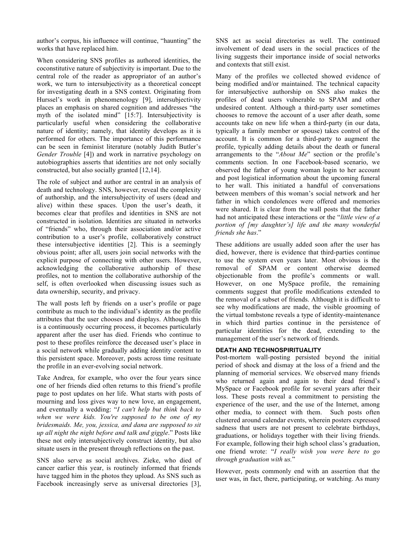author's corpus, his influence will continue, "haunting" the works that have replaced him.

When considering SNS profiles as authored identities, the coconstitutive nature of subjectivity is important. Due to the central role of the reader as appropriator of an author's work, we turn to intersubjectivity as a theoretical concept for investigating death in a SNS context. Originating from Hurssel's work in phenomenology [9], intersubjectivity places an emphasis on shared cognition and addresses "the myth of the isolated mind" [15:7]. Intersubjectivity is particularly useful when considering the collaborative nature of identity; namely, that identity develops as it is performed for others. The importance of this performance can be seen in feminist literature (notably Judith Butler's *Gender Trouble* [4]) and work in narrative psychology on autobiographies asserts that identities are not only socially constructed, but also socially granted [12,14].

The role of subject and author are central in an analysis of death and technology. SNS, however, reveal the complexity of authorship, and the intersubjectivity of users (dead and alive) within these spaces. Upon the user's death, it becomes clear that profiles and identities in SNS are not constructed in isolation. Identities are situated in networks of "friends" who, through their association and/or active contribution to a user's profile, collaboratively construct these intersubjective identities [2]. This is a seemingly obvious point; after all, users join social networks with the explicit purpose of connecting with other users. However, acknowledging the collaborative authorship of these profiles, not to mention the collaborative authorship of the self, is often overlooked when discussing issues such as data ownership, security, and privacy.

The wall posts left by friends on a user's profile or page contribute as much to the individual's identity as the profile attributes that the user chooses and displays. Although this is a continuously occurring process, it becomes particularly apparent after the user has died. Friends who continue to post to these profiles reinforce the deceased user's place in a social network while gradually adding identity content to this persistent space. Moreover, posts across time resituate the profile in an ever-evolving social network.

Take Andrea, for example, who over the four years since one of her friends died often returns to this friend's profile page to post updates on her life. What starts with posts of mourning and loss gives way to new love, an engagement, and eventually a wedding: "*I can't help but think back to when we were kids. You're supposed to be one of my bridesmaids. Me, you, jessica, and dana are supposed to sit up all night the night before and talk and giggle*." Posts like these not only intersubjectively construct identity, but also situate users in the present through reflections on the past.

SNS also serve as social archives. Zieke, who died of cancer earlier this year, is routinely informed that friends have tagged him in the photos they upload. As SNS such as Facebook increasingly serve as universal directories [3],

SNS act as social directories as well. The continued involvement of dead users in the social practices of the living suggests their importance inside of social networks and contexts that still exist.

Many of the profiles we collected showed evidence of being modified and/or maintained. The technical capacity for intersubjective authorship on SNS also makes the profiles of dead users vulnerable to SPAM and other undesired content. Although a third-party user sometimes chooses to remove the account of a user after death, some accounts take on new life when a third-party (in our data, typically a family member or spouse) takes control of the account. It is common for a third-party to augment the profile, typically adding details about the death or funeral arrangements to the "*About Me*" section or the profile's comments section. In one Facebook-based scenario, we observed the father of young woman login to her account and post logistical information about the upcoming funeral to her wall. This initiated a handful of conversations between members of this woman's social network and her father in which condolences were offered and memories were shared. It is clear from the wall posts that the father had not anticipated these interactions or the "*little view of a portion of [my daughter's] life and the many wonderful friends she has*."

These additions are usually added soon after the user has died, however, there is evidence that third-parties continue to use the system even years later. Most obvious is the removal of SPAM or content otherwise deemed objectionable from the profile's comments or wall. However, on one MySpace profile, the remaining comments suggest that profile modifications extended to the removal of a subset of friends. Although it is difficult to see why modifications are made, the visible grooming of the virtual tombstone reveals a type of identity-maintenance in which third parties continue in the persistence of particular identities for the dead, extending to the management of the user's network of friends.

## **DEATH AND TECHNOSPIRITUALITY**

Post-mortem wall-posting persisted beyond the initial period of shock and dismay at the loss of a friend and the planning of memorial services. We observed many friends who returned again and again to their dead friend's MySpace or Facebook profile for several years after their loss. These posts reveal a commitment to persisting the experience of the user, and the use of the Internet, among other media, to connect with them. Such posts often clustered around calendar events, wherein posters expressed sadness that users are not present to celebrate birthdays, graduations, or holidays together with their living friends. For example, following their high school class's graduation, one friend wrote: "*I really wish you were here to go through graduation with us.*"

However, posts commonly end with an assertion that the user was, in fact, there, participating, or watching. As many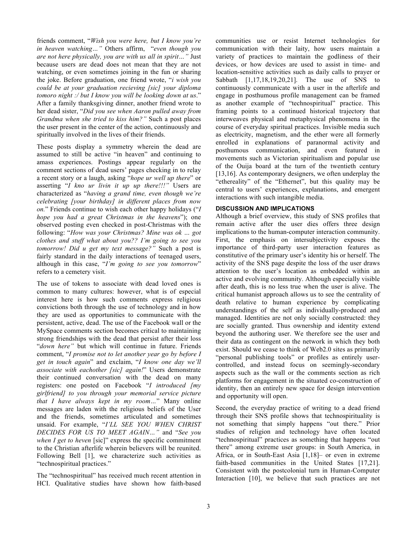friends comment, "*Wish you were here, but I know you're in heaven watching…"* Others affirm, "*even though you are not here physically, you are with us all in spirit…"* Just because users are dead does not mean that they are not watching, or even sometimes joining in the fun or sharing the joke. Before graduation, one friend wrote, "*i wish you could be at your graduation recieving [sic] your diploma tomoro night :/ but I know you will be looking down at us*." After a family thanksgiving dinner, another friend wrote to her dead sister, "*Did you see when Aaron pulled away from Grandma when she tried to kiss him?"* Such a post places the user present in the center of the action, continuously and spiritually involved in the lives of their friends.

These posts display a symmetry wherein the dead are assumed to still be active "in heaven" and continuing to amass experiences. Postings appear regularly on the comment sections of dead users' pages checking in to relay a recent story or a laugh, asking "*hope ur well up there*" or asserting "*I kno ur livin it up up there!!!"* Users are characterized as "*having a grand time, even though we're celebrating [your birthday] in different places from now on.*" Friends continue to wish each other happy holidays ("*I hope you had a great Christmas in the heavens*"); one observed posting even checked in post-Christmas with the following: "*How was your Christmas? Mine was ok … got clothes and stuff what about you?? I'm going to see you tomorrow! Did u get my text message?"* Such a post is fairly standard in the daily interactions of teenaged users, although in this case, "*I'm going to see you tomorrow*" refers to a cemetery visit.

The use of tokens to associate with dead loved ones is common to many cultures: however, what is of especial interest here is how such comments express religious convictions both through the use of technology and in how they are used as opportunities to communicate with the persistent, active, dead. The use of the Facebook wall or the MySpace comments section becomes critical to maintaining strong friendships with the dead that persist after their loss "*down here"* but which will continue in future. Friends comment, "*I promise not to let another year go by before I get in touch again*" and exclaim, "*I know one day we'll associate with eachother [sic] again!*" Users demonstrate their continued conversation with the dead on many registers: one posted on Facebook "*I introduced [my girlfriend] to you through your memorial service picture that I have always kept in my room…*" Many online messages are laden with the religious beliefs of the User and the friends, sometimes articulated and sometimes unsaid. For example, "*I'LL SEE YOU WHEN CHRIST DECIDES FOR US TO MEET AGAIN…"* and "*See you when I get to heven* [sic]" express the specific commitment to the Christian afterlife wherein believers will be reunited. Following Bell [1], we characterize such activities as "technospiritual practices."

The "technospiritual" has received much recent attention in HCI. Qualitative studies have shown how faith-based communities use or resist Internet technologies for communication with their laity, how users maintain a variety of practices to maintain the godliness of their devices, or how devices are used to assist in time- and location-sensitive activities such as daily calls to prayer or Sabbath [1,17,18,19,20,21]. The use of SNS to continuously communicate with a user in the afterlife and engage in posthumous profile management can be framed as another example of "technospiritual" practice. This framing points to a continued historical trajectory that interweaves physical and metaphysical phenomena in the course of everyday spiritual practices. Invisible media such as electricity, magnetism, and the ether were all formerly enrolled in explanations of paranormal activity and posthumous communication, and even featured in movements such as Victorian spiritualism and popular use of the Ouija board at the turn of the twentieth century [13,16]. As contemporary designers, we often underplay the "ethereality" of the "Ethernet", but this quality may be central to users' experiences, explanations, and emergent interactions with such intangible media.

## **DISCUSSION AND IMPLICATIONS**

Although a brief overview, this study of SNS profiles that remain active after the user dies offers three design implications to the human-computer interaction community. First, the emphasis on intersubjectivity exposes the importance of third-party user interaction features as constitutive of the primary user's identity his or herself. The activity of the SNS page despite the loss of the user draws attention to the user's location as embedded within an active and evolving community. Although especially visible after death, this is no less true when the user is alive. The critical humanist approach allows us to see the centrality of death relative to human experience by complicating understandings of the self as individually-produced and managed. Identities are not only socially constructed: they are socially granted. Thus ownership and identity extend beyond the authoring user. We therefore see the user and their data as contingent on the network in which they both exist. Should we cease to think of Web2.0 sites as primarily "personal publishing tools" or profiles as entirely usercontrolled, and instead focus on seemingly-secondary aspects such as the wall or the comments section as rich platforms for engagement in the situated co-construction of identity, then an entirely new space for design intervention and opportunity will open.

Second, the everyday practice of writing to a dead friend through their SNS profile shows that technospirituality is not something that simply happens "out there." Prior studies of religion and technology have often located "technospiritual" practices as something that happens "out there" among extreme user groups: in South America, in Africa, or in South-East Asia [1,18]– or even in extreme faith-based communities in the United States [17,21]. Consistent with the postcolonial turn in Human-Computer Interaction [10], we believe that such practices are not